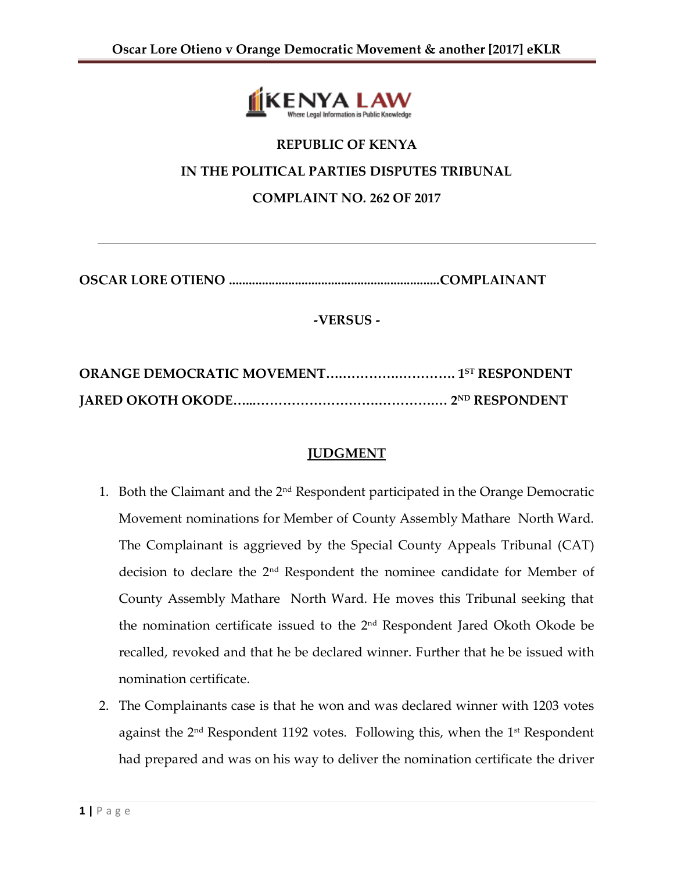

# **REPUBLIC OF KENYA IN THE POLITICAL PARTIES DISPUTES TRIBUNAL COMPLAINT NO. 262 OF 2017**

**OSCAR LORE OTIENO ................................................................COMPLAINANT**

## **-VERSUS -**

## **JUDGMENT**

- 1. Both the Claimant and the  $2<sup>nd</sup>$  Respondent participated in the Orange Democratic Movement nominations for Member of County Assembly Mathare North Ward. The Complainant is aggrieved by the Special County Appeals Tribunal (CAT) decision to declare the 2nd Respondent the nominee candidate for Member of County Assembly Mathare North Ward. He moves this Tribunal seeking that the nomination certificate issued to the 2nd Respondent Jared Okoth Okode be recalled, revoked and that he be declared winner. Further that he be issued with nomination certificate.
- 2. The Complainants case is that he won and was declared winner with 1203 votes against the  $2<sup>nd</sup>$  Respondent 1192 votes. Following this, when the  $1<sup>st</sup>$  Respondent had prepared and was on his way to deliver the nomination certificate the driver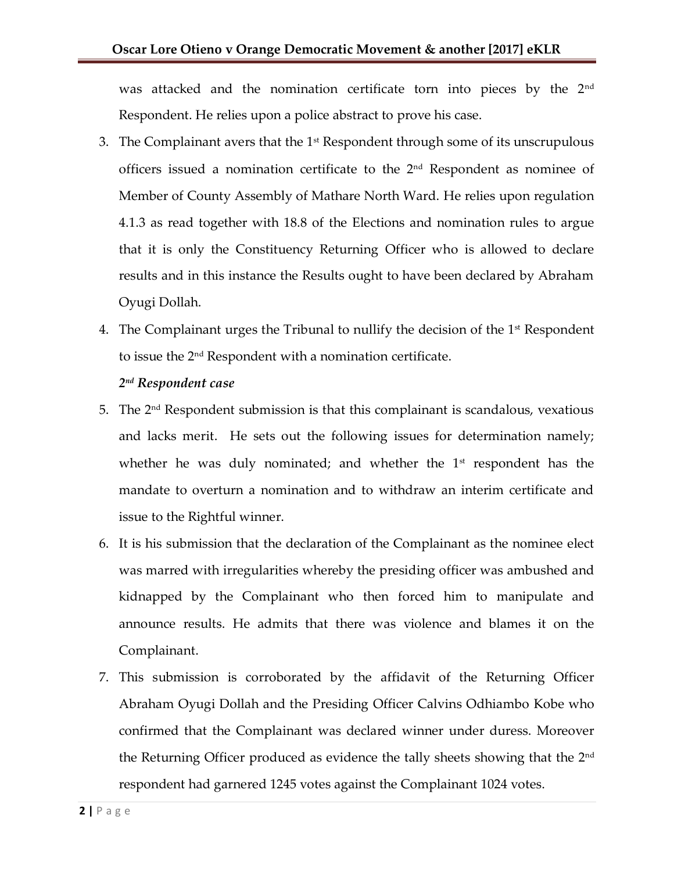was attacked and the nomination certificate torn into pieces by the 2<sup>nd</sup> Respondent. He relies upon a police abstract to prove his case.

- 3. The Complainant avers that the  $1<sup>st</sup>$  Respondent through some of its unscrupulous officers issued a nomination certificate to the 2nd Respondent as nominee of Member of County Assembly of Mathare North Ward. He relies upon regulation 4.1.3 as read together with 18.8 of the Elections and nomination rules to argue that it is only the Constituency Returning Officer who is allowed to declare results and in this instance the Results ought to have been declared by Abraham Oyugi Dollah.
- 4. The Complainant urges the Tribunal to nullify the decision of the  $1<sup>st</sup>$  Respondent to issue the 2nd Respondent with a nomination certificate.

### *2 nd Respondent case*

- 5. The  $2<sup>nd</sup>$  Respondent submission is that this complainant is scandalous, vexatious and lacks merit. He sets out the following issues for determination namely; whether he was duly nominated; and whether the  $1<sup>st</sup>$  respondent has the mandate to overturn a nomination and to withdraw an interim certificate and issue to the Rightful winner.
- 6. It is his submission that the declaration of the Complainant as the nominee elect was marred with irregularities whereby the presiding officer was ambushed and kidnapped by the Complainant who then forced him to manipulate and announce results. He admits that there was violence and blames it on the Complainant.
- 7. This submission is corroborated by the affidavit of the Returning Officer Abraham Oyugi Dollah and the Presiding Officer Calvins Odhiambo Kobe who confirmed that the Complainant was declared winner under duress. Moreover the Returning Officer produced as evidence the tally sheets showing that the 2<sup>nd</sup> respondent had garnered 1245 votes against the Complainant 1024 votes.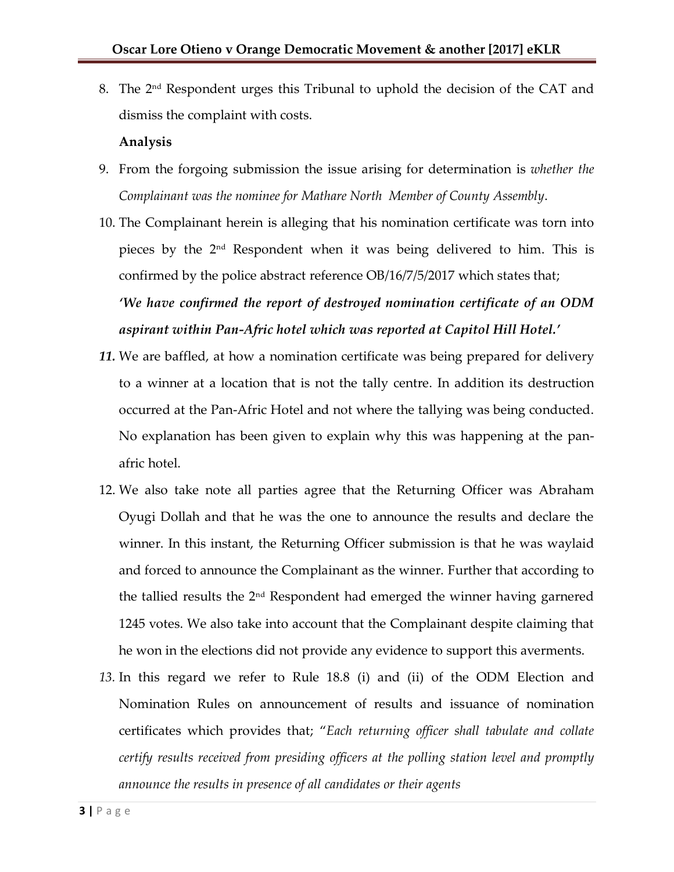8. The 2nd Respondent urges this Tribunal to uphold the decision of the CAT and dismiss the complaint with costs.

### **Analysis**

- 9. From the forgoing submission the issue arising for determination is *whether the Complainant was the nominee for Mathare North Member of County Assembly*.
- 10. The Complainant herein is alleging that his nomination certificate was torn into pieces by the 2nd Respondent when it was being delivered to him. This is confirmed by the police abstract reference OB/16/7/5/2017 which states that; *'We have confirmed the report of destroyed nomination certificate of an ODM aspirant within Pan-Afric hotel which was reported at Capitol Hill Hotel.'*
- *11.* We are baffled, at how a nomination certificate was being prepared for delivery to a winner at a location that is not the tally centre. In addition its destruction occurred at the Pan-Afric Hotel and not where the tallying was being conducted. No explanation has been given to explain why this was happening at the panafric hotel.
- 12. We also take note all parties agree that the Returning Officer was Abraham Oyugi Dollah and that he was the one to announce the results and declare the winner. In this instant, the Returning Officer submission is that he was waylaid and forced to announce the Complainant as the winner. Further that according to the tallied results the 2nd Respondent had emerged the winner having garnered 1245 votes. We also take into account that the Complainant despite claiming that he won in the elections did not provide any evidence to support this averments.
- *13.* In this regard we refer to Rule 18.8 (i) and (ii) of the ODM Election and Nomination Rules on announcement of results and issuance of nomination certificates which provides that; "*Each returning officer shall tabulate and collate certify results received from presiding officers at the polling station level and promptly announce the results in presence of all candidates or their agents*